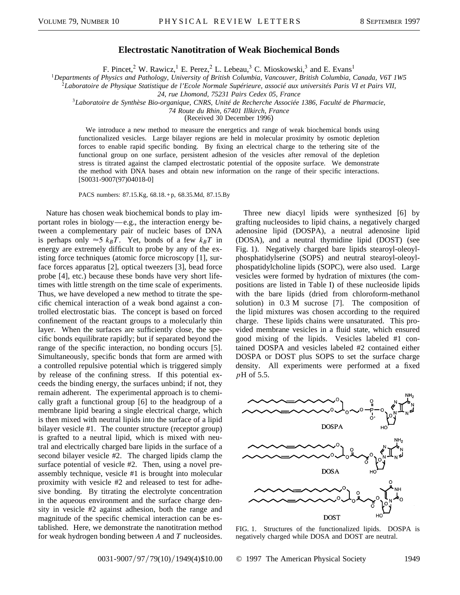## **Electrostatic Nanotitration of Weak Biochemical Bonds**

F. Pincet,<sup>2</sup> W. Rawicz,<sup>1</sup> E. Perez,<sup>2</sup> L. Lebeau,<sup>3</sup> C. Mioskowski,<sup>3</sup> and E. Evans<sup>1</sup>

<sup>1</sup>*Departments of Physics and Pathology, University of British Columbia, Vancouver, British Columbia, Canada, V6T 1W5*

<sup>2</sup>*Laboratoire de Physique Statistique de l'Ecole Normale Supérieure, associé aux universités Paris VI et Pairs VII,*

*24, rue Lhomond, 75231 Pairs Cedex 05, France*

<sup>3</sup>*Laboratoire de Synthèse Bio-organique, CNRS, Unité de Recherche Associée 1386, Faculté de Pharmacie,*

*74 Route du Rhin, 67401 Illkirch, France*

(Received 30 December 1996)

We introduce a new method to measure the energetics and range of weak biochemical bonds using functionalized vesicles. Large bilayer regions are held in molecular proximity by osmotic depletion forces to enable rapid specific bonding. By fixing an electrical charge to the tethering site of the functional group on one surface, persistent adhesion of the vesicles after removal of the depletion stress is titrated against the clamped electrostatic potential of the opposite surface. We demonstrate the method with DNA bases and obtain new information on the range of their specific interactions. [S0031-9007(97)04018-0]

PACS numbers: 87.15.Kg, 68.18.+p, 68.35.Md, 87.15.By

Nature has chosen weak biochemical bonds to play important roles in biology—e.g., the interaction energy between a complementary pair of nucleic bases of DNA is perhaps only  $\approx$ 5  $k_B T$ . Yet, bonds of a few  $k_B T$  in energy are extremely difficult to probe by any of the existing force techniques (atomic force microscopy [1], surface forces apparatus [2], optical tweezers [3], bead force probe [4], etc.) because these bonds have very short lifetimes with little strength on the time scale of experiments. Thus, we have developed a new method to titrate the specific chemical interaction of a weak bond against a controlled electrostatic bias. The concept is based on forced confinement of the reactant groups to a molecularly thin layer. When the surfaces are sufficiently close, the specific bonds equilibrate rapidly; but if separated beyond the range of the specific interaction, no bonding occurs [5]. Simultaneously, specific bonds that form are armed with a controlled repulsive potential which is triggered simply by release of the confining stress. If this potential exceeds the binding energy, the surfaces unbind; if not, they remain adherent. The experimental approach is to chemically graft a functional group [6] to the headgroup of a membrane lipid bearing a single electrical charge, which is then mixed with neutral lipids into the surface of a lipid bilayer vesicle #1. The counter structure (receptor group) is grafted to a neutral lipid, which is mixed with neutral and electrically charged bare lipids in the surface of a second bilayer vesicle #2. The charged lipids clamp the surface potential of vesicle #2. Then, using a novel preassembly technique, vesicle #1 is brought into molecular proximity with vesicle #2 and released to test for adhesive bonding. By titrating the electrolyte concentration in the aqueous environment and the surface charge density in vesicle #2 against adhesion, both the range and magnitude of the specific chemical interaction can be established. Here, we demonstrate the nanotitration method for weak hydrogen bonding between *A* and *T* nucleosides.

Three new diacyl lipids were synthesized [6] by grafting nucleosides to lipid chains, a negatively charged adenosine lipid (DOSPA), a neutral adenosine lipid (DOSA), and a neutral thymidine lipid (DOST) (see Fig. 1). Negatively charged bare lipids stearoyl-oleoylphosphatidylserine (SOPS) and neutral stearoyl-oleoylphospatidylcholine lipids (SOPC), were also used. Large vesicles were formed by hydration of mixtures (the compositions are listed in Table I) of these nucleoside lipids with the bare lipids (dried from chloroform-methanol solution) in 0.3 M sucrose [7]. The composition of the lipid mixtures was chosen according to the required charge. These lipids chains were unsaturated. This provided membrane vesicles in a fluid state, which ensured good mixing of the lipids. Vesicles labeled #1 contained DOSPA and vesicles labeled #2 contained either DOSPA or DOST plus SOPS to set the surface charge density. All experiments were performed at a fixed *p*H of 5.5.



FIG. 1. Structures of the functionalized lipids. DOSPA is negatively charged while DOSA and DOST are neutral.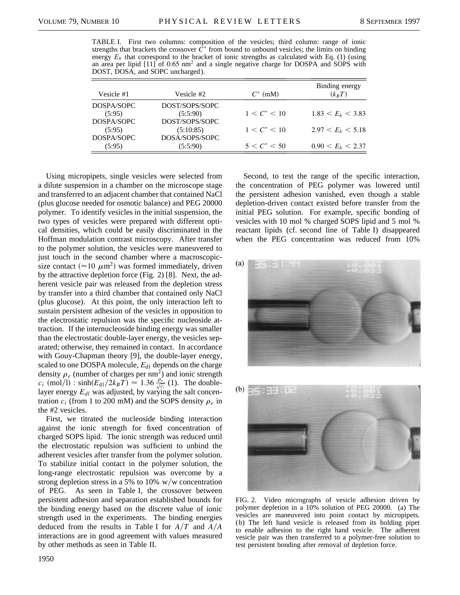Ė

TABLE I. First two columns: composition of the vesicles; third column: range of ionic strengths that brackets the crossover  $\tilde{C}^*$  from bound to unbound vesicles; the limits on binding energy  $E_b$  that correspond to the bracket of ionic strengths as calculated with Eq. (1) (using an area per lipid  $[11]$  of 0.65 nm<sup>2</sup> and a single negative charge for DOSPA and SOPS with DOST, DOSA, and SOPC uncharged).

| Vesicle #1 | Vesicle #2     | $C^*$ (mM)           | Binding energy<br>$(k_BT)$ |
|------------|----------------|----------------------|----------------------------|
| DOSPA/SOPC | DOST/SOPS/SOPC |                      |                            |
| (5:95)     | (5:5:90)       | $1 \le C^* \le 10$   | $1.83 < E_h < 3.83$        |
| DOSPA/SOPC | DOST/SOPS/SOPC |                      |                            |
| (5:95)     | (5:10:85)      | $1 \leq C^* \leq 10$ | $2.97 < E_h < 5.18$        |
| DOSPA/SOPC | DOSA/SOPS/SOPC |                      |                            |
| (5:95)     | (5:5:90)       | $5 < C^* < 50$       | $0.90 < E_h < 2.37$        |

Using micropipets, single vesicles were selected from a dilute suspension in a chamber on the microscope stage and transferred to an adjacent chamber that contained NaCl (plus glucose needed for osmotic balance) and PEG 20000 polymer. To identify vesicles in the initial suspension, the two types of vesicles were prepared with different optical densities, which could be easily discriminated in the Hoffman modulation contrast microscopy. After transfer to the polymer solution, the vesicles were maneuvered to just touch in the second chamber where a macroscopicsize contact ( $\approx$ 10  $\mu$ m<sup>2</sup>) was formed immediately, driven by the attractive depletion force (Fig. 2) [8]. Next, the adherent vesicle pair was released from the depletion stress by transfer into a third chamber that contained only NaCl (plus glucose). At this point, the only interaction left to sustain persistent adhesion of the vesicles in opposition to the electrostatic repulsion was the specific nucleoside attraction. If the internucleoside binding energy was smaller than the electrostatic double-layer energy, the vesicles separated; otherwise, they remained in contact. In accordance with Gouy-Chapman theory [9], the double-layer energy, scaled to one DOSPA molecule,  $E_{d1}$  depends on the charge density  $\rho_e$  (number of charges per nm<sup>2</sup>) and ionic strength  $c_i$  (mol/1):  $\sinh(E_{d1}/2k_BT) \approx 1.36 \frac{\rho_e}{\sqrt{c_i}}$  (1). The doublelayer energy  $E_{dl}$  was adjusted, by varying the salt concentration  $c_i$  (from 1 to 200 mM) and the SOPS density  $\rho_e$  in the #2 vesicles.

First, we titrated the nucleoside binding interaction against the ionic strength for fixed concentration of charged SOPS lipid. The ionic strength was reduced until the electrostatic repulsion was sufficient to unbind the adherent vesicles after transfer from the polymer solution. To stabilize initial contact in the polymer solution, the long-range electrostatic repulsion was overcome by a strong depletion stress in a 5% to 10%  $w/w$  concentration of PEG. As seen in Table I, the crossover between persistent adhesion and separation established bounds for the binding energy based on the discrete value of ionic strength used in the experiments. The binding energies deduced from the results in Table I for  $A/T$  and  $A/A$ interactions are in good agreement with values measured by other methods as seen in Table II.

Second, to test the range of the specific interaction, the concentration of PEG polymer was lowered until the persistent adhesion vanished, even though a stable depletion-driven contact existed before transfer from the initial PEG solution. For example, specific bonding of vesicles with 10 mol % charged SOPS lipid and 5 mol % reactant lipids (cf. second line of Table I) disappeared when the PEG concentration was reduced from 10%





FIG. 2. Video micrographs of vesicle adhesion driven by polymer depletion in a 10% solution of PEG 20000. (a) The vesicles are maneuvered into point contact by micropipets. (b) The left hand vesicle is released from its holding pipet to enable adhesion to the right hand vesicle. The adherent vesicle pair was then transferred to a polymer-free solution to test persistent bonding after removal of depletion force.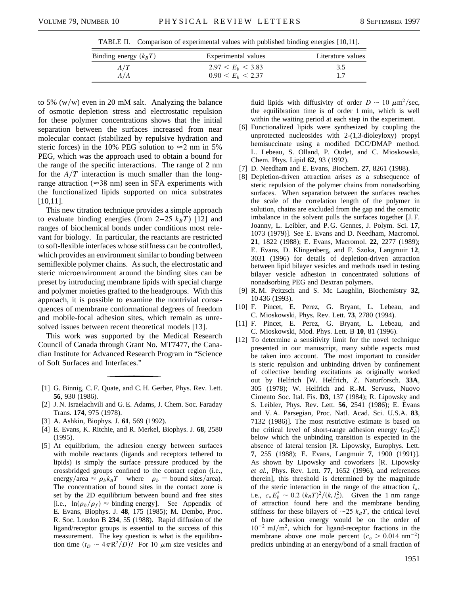TABLE II. Comparison of experimental values with published binding energies [10,11].

| Binding energy $(k_B T)$ | Experimental values          | Literature values |
|--------------------------|------------------------------|-------------------|
| A/T                      | 2.97 < E <sub>b</sub> < 3.83 | 3.5               |
| A/A                      | $0.90 \le E_h \le 2.37$      |                   |

to 5%  $(w/w)$  even in 20 mM salt. Analyzing the balance of osmotic depletion stress and electrostatic repulsion for these polymer concentrations shows that the initial separation between the surfaces increased from near molecular contact (stabilized by repulsive hydration and steric forces) in the 10% PEG solution to  $\approx$  2 nm in 5% PEG, which was the approach used to obtain a bound for the range of the specific interactions. The range of 2 nm for the  $A/T$  interaction is much smaller than the longrange attraction ( $\approx$ 38 nm) seen in SFA experiments with the functionalized lipids supported on mica substrates [10,11].

This new titration technique provides a simple approach to evaluate binding energies (from  $2-25$   $k_BT$ ) [12] and ranges of biochemical bonds under conditions most relevant for biology. In particular, the reactants are restricted to soft-flexible interfaces whose stiffness can be controlled, which provides an environment similar to bonding between semiflexible polymer chains. As such, the electrostatic and steric microenvironment around the binding sites can be preset by introducing membrane lipids with special charge and polymer moieties grafted to the headgroups. With this approach, it is possible to examine the nontrivial consequences of membrane conformational degrees of freedom and mobile-focal adhesion sites, which remain as unresolved issues between recent theoretical models [13].

This work was supported by the Medical Research Council of Canada through Grant No. MT7477, the Canadian Institute for Advanced Research Program in "Science of Soft Surfaces and Interfaces."

- [1] G. Binnig, C. F. Quate, and C. H. Gerber, Phys. Rev. Lett. **56**, 930 (1986).
- [2] J. N. Israelachvili and G. E. Adams, J. Chem. Soc. Faraday Trans. **174**, 975 (1978).
- [3] A. Ashkin, Biophys. J. **61**, 569 (1992).
- [4] E. Evans, K. Ritchie, and R. Merkel, Biophys. J. **68**, 2580 (1995).
- [5] At equilibrium, the adhesion energy between surfaces with mobile reactants (ligands and receptors tethered to lipids) is simply the surface pressure produced by the crossbridged groups confined to the contact region (i.e., energy/area  $\approx \rho_b k_B T$  where  $\rho_b =$  bound sites/area). The concentration of bound sites in the contact zone is set by the 2D equilibrium between bound and free sites [i.e.,  $\ln(\rho_b/\rho_f) \approx$  binding energy]. See Appendix of E. Evans, Biophys. J. **48**, 175 (1985); M. Dembo, Proc. R. Soc. London B **234**, 55 (1988). Rapid diffusion of the ligand/receptor groups is essential to the success of this measurement. The key question is what is the equilibration time  $(t_D \sim 4\pi R^2/D)$ ? For 10  $\mu$ m size vesicles and

fluid lipids with diffusivity of order  $D \sim 10 \ \mu \text{m}^2/\text{sec}$ , the equilibration time is of order 1 min, which is well within the waiting period at each step in the experiment.

- [6] Functionalized lipids were synthesized by coupling the unprotected nucleosides with 2-(1,3-dioleyloxy) propyl hemisuccinate using a modified DCC/DMAP method. L. Lebeau, S. Olland, P. Oudet, and C. Mioskowski, Chem. Phys. Lipid **62**, 93 (1992).
- [7] D. Needham and E. Evans, Biochem. **27**, 8261 (1988).
- [8] Depletion-driven attraction arises as a subsequence of steric repulsion of the polymer chains from nonadsorbing surfaces. When separation between the surfaces reaches the scale of the correlation length of the polymer in solution, chains are excluded from the gap and the osmotic imbalance in the solvent pulls the surfaces together [J. F. Joanny, L. Leibler, and P. G. Gennes, J. Polym. Sci. **17**, 1073 (1979)]. See E. Evans and D. Needham, Macromol. **21**, 1822 (1988); E. Evans, Macromol. **22**, 2277 (1989); E. Evans, D. Klingenberg, and F. Szoka, Langmuir **12**, 3031 (1996) for details of depletion-driven attraction between lipid bilayer vesicles and methods used in testing bilayer vesicle adhesion in concentrated solutions of nonadsorbing PEG and Dextran polymers.
- [9] R. M. Peitzsch and S. Mc Laughlin, Biochemistry **32**, 10 436 (1993).
- [10] F. Pincet, E. Perez, G. Bryant, L. Lebeau, and C. Mioskowski, Phys. Rev. Lett. **73**, 2780 (1994).
- [11] F. Pincet, E. Perez, G. Bryant, L. Lebeau, and C. Mioskowski, Mod. Phys. Lett. B **10**, 81 (1996).
- [12] To determine a sensitivity limit for the novel technique presented in our manuscript, many subtle aspects must be taken into account. The most important to consider is steric repulsion and unbinding driven by confinement of collective bending excitations as originally worked out by Helfrich [W. Helfrich, Z. Naturforsch. **33A**, 305 (1978); W. Helfrich and R.-M. Servuss, Nuovo Cimento Soc. Ital. Fis. **D3**, 137 (1984); R. Lipowsky and S. Leibler, Phys. Rev. Lett. **56**, 2541 (1986); E. Evans and V. A. Parsegian, Proc. Natl. Acad. Sci. U.S.A. **83**, 7132 (1986)]. The most restrictive estimate is based on the critical level of short-range adhesion energy  $(c_0E_b^*)$ below which the unbinding transition is expected in the absence of lateral tension [R. Lipowsky, Europhys. Lett. **7**, 255 (1988); E. Evans, Langmuir **7**, 1900 (1991)]. As shown by Lipowsky and coworkers [R. Lipowsky *et al.,* Phys. Rev. Lett. **77**, 1652 (1996), and references therein], this threshold is determined by the magnitude of the steric interaction in the range of the attraction  $l_a$ , i.e.,  $c_o E_b^* \sim 0.2 \ (k_B T)^2 / (k_c l_a^2)$ . Given the 1 nm range of attraction found here and the membrane bending stiffness for these bilayers of  $\sim$ 25  $k_BT$ , the critical level of bare adhesion energy would be on the order of  $10^{-2}$  mJ/m<sup>2</sup>, which for ligand-receptor fractions in the membrane above one mole percent  $(c_0 > 0.014 \text{ nm}^{-2})$ predicts unbinding at an energy/bond of a small fraction of